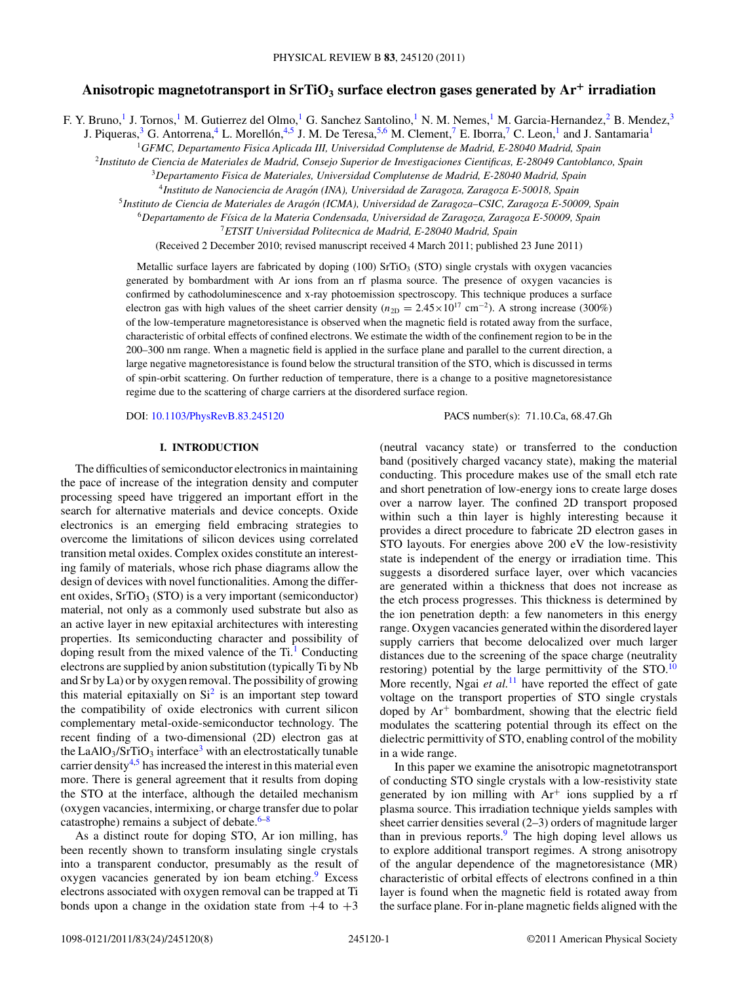# **Anisotropic magnetotransport in SrTiO3 surface electron gases generated by Ar<sup>+</sup> irradiation**

F. Y. Bruno,<sup>1</sup> J. Tornos,<sup>1</sup> M. Gutierrez del Olmo,<sup>1</sup> G. Sanchez Santolino,<sup>1</sup> N. M. Nemes,<sup>1</sup> M. Garcia-Hernandez,<sup>2</sup> B. Mendez,<sup>3</sup>

J. Piqueras,<sup>3</sup> G. Antorrena,<sup>4</sup> L. Morellón, <sup>4,5</sup> J. M. De Teresa, <sup>5,6</sup> M. Clement,<sup>7</sup> E. Iborra,<sup>7</sup> C. Leon,<sup>1</sup> and J. Santamaria<sup>1</sup>

<sup>1</sup>*GFMC, Departamento Fisica Aplicada III, Universidad Complutense de Madrid, E-28040 Madrid, Spain*

<sup>2</sup>*Instituto de Ciencia de Materiales de Madrid, Consejo Superior de Investigaciones Cientificas, E-28049 Cantoblanco, Spain*

<sup>3</sup>*Departamento Fisica de Materiales, Universidad Complutense de Madrid, E-28040 Madrid, Spain*

<sup>4</sup>*Instituto de Nanociencia de Aragon (INA), Universidad de Zaragoza, Zaragoza E-50018, Spain ´*

<sup>5</sup>*Instituto de Ciencia de Materiales de Aragon (ICMA), Universidad de Zaragoza–CSIC, Zaragoza E-50009, Spain ´*

<sup>6</sup>*Departamento de F´ısica de la Materia Condensada, Universidad de Zaragoza, Zaragoza E-50009, Spain*

<sup>7</sup>*ETSIT Universidad Politecnica de Madrid, E-28040 Madrid, Spain*

(Received 2 December 2010; revised manuscript received 4 March 2011; published 23 June 2011)

Metallic surface layers are fabricated by doping  $(100)$  SrTiO<sub>3</sub> (STO) single crystals with oxygen vacancies generated by bombardment with Ar ions from an rf plasma source. The presence of oxygen vacancies is confirmed by cathodoluminescence and x-ray photoemission spectroscopy. This technique produces a surface electron gas with high values of the sheet carrier density ( $n_{2D} = 2.45 \times 10^{17}$  cm<sup>-2</sup>). A strong increase (300%) of the low-temperature magnetoresistance is observed when the magnetic field is rotated away from the surface, characteristic of orbital effects of confined electrons. We estimate the width of the confinement region to be in the 200–300 nm range. When a magnetic field is applied in the surface plane and parallel to the current direction, a large negative magnetoresistance is found below the structural transition of the STO, which is discussed in terms of spin-orbit scattering. On further reduction of temperature, there is a change to a positive magnetoresistance regime due to the scattering of charge carriers at the disordered surface region.

DOI: [10.1103/PhysRevB.83.245120](http://dx.doi.org/10.1103/PhysRevB.83.245120) PACS number(s): 71*.*10*.*Ca, 68*.*47*.*Gh

#### **I. INTRODUCTION**

The difficulties of semiconductor electronics in maintaining the pace of increase of the integration density and computer processing speed have triggered an important effort in the search for alternative materials and device concepts. Oxide electronics is an emerging field embracing strategies to overcome the limitations of silicon devices using correlated transition metal oxides. Complex oxides constitute an interesting family of materials, whose rich phase diagrams allow the design of devices with novel functionalities. Among the different oxides,  $SrTiO<sub>3</sub> (STO)$  is a very important (semiconductor) material, not only as a commonly used substrate but also as an active layer in new epitaxial architectures with interesting properties. Its semiconducting character and possibility of doping result from the mixed valence of the  $Ti<sup>1</sup>$  Conducting electrons are supplied by anion substitution (typically Ti by Nb and Sr by La) or by oxygen removal. The possibility of growing this material epitaxially on  $Si<sup>2</sup>$  is an important step toward the compatibility of oxide electronics with current silicon complementary metal-oxide-semiconductor technology. The recent finding of a two-dimensional (2D) electron gas at the LaAlO<sub>3</sub>/SrTiO<sub>3</sub> interface<sup>3</sup> with an electrostatically tunable carrier density $4.5$  has increased the interest in this material even more. There is general agreement that it results from doping the STO at the interface, although the detailed mechanism (oxygen vacancies, intermixing, or charge transfer due to polar catastrophe) remains a subject of debate. $6-8$ 

As a distinct route for doping STO, Ar ion milling, has been recently shown to transform insulating single crystals into a transparent conductor, presumably as the result of oxygen vacancies generated by ion beam etching.<sup>9</sup> Excess electrons associated with oxygen removal can be trapped at Ti bonds upon a change in the oxidation state from  $+4$  to  $+3$ 

(neutral vacancy state) or transferred to the conduction band (positively charged vacancy state), making the material conducting. This procedure makes use of the small etch rate and short penetration of low-energy ions to create large doses over a narrow layer. The confined 2D transport proposed within such a thin layer is highly interesting because it provides a direct procedure to fabricate 2D electron gases in STO layouts. For energies above 200 eV the low-resistivity state is independent of the energy or irradiation time. This suggests a disordered surface layer, over which vacancies are generated within a thickness that does not increase as the etch process progresses. This thickness is determined by the ion penetration depth: a few nanometers in this energy range. Oxygen vacancies generated within the disordered layer supply carriers that become delocalized over much larger distances due to the screening of the space charge (neutrality restoring) potential by the large permittivity of the  $STO$ .<sup>[10](#page-6-0)</sup> More recently, Ngai *et al.*<sup>[11](#page-6-0)</sup> have reported the effect of gate voltage on the transport properties of STO single crystals doped by  $Ar^+$  bombardment, showing that the electric field modulates the scattering potential through its effect on the dielectric permittivity of STO, enabling control of the mobility in a wide range.

In this paper we examine the anisotropic magnetotransport of conducting STO single crystals with a low-resistivity state generated by ion milling with  $Ar^+$  ions supplied by a rf plasma source. This irradiation technique yields samples with sheet carrier densities several (2–3) orders of magnitude larger than in previous reports. $9$  The high doping level allows us to explore additional transport regimes. A strong anisotropy of the angular dependence of the magnetoresistance (MR) characteristic of orbital effects of electrons confined in a thin layer is found when the magnetic field is rotated away from the surface plane. For in-plane magnetic fields aligned with the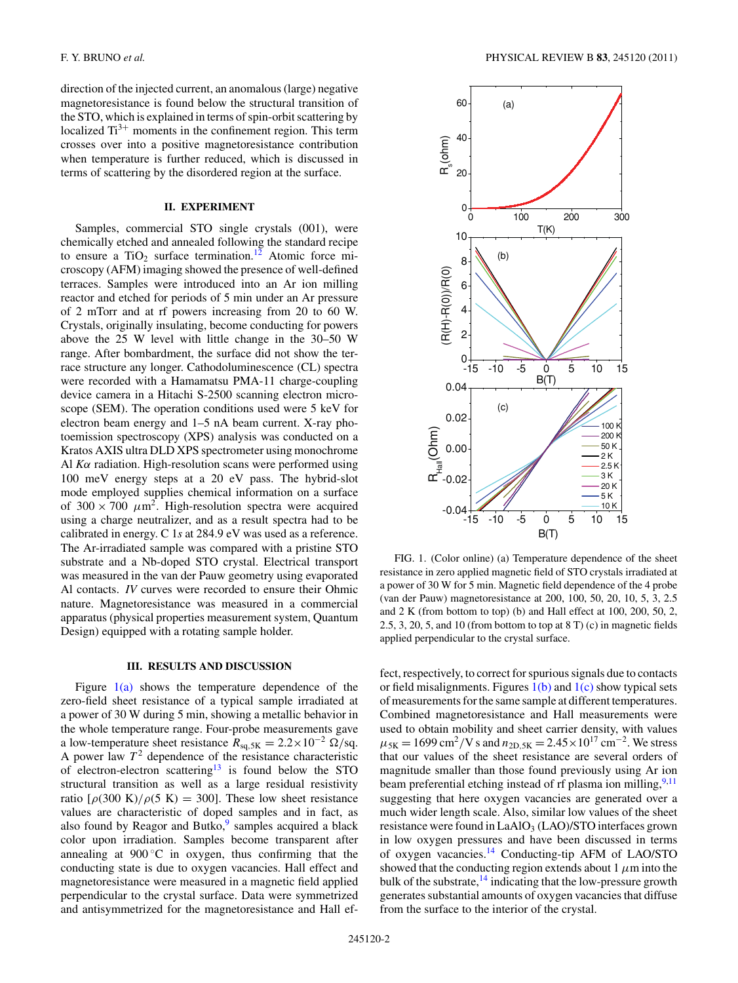direction of the injected current, an anomalous (large) negative magnetoresistance is found below the structural transition of the STO, which is explained in terms of spin-orbit scattering by localized  $Ti^{3+}$  moments in the confinement region. This term crosses over into a positive magnetoresistance contribution when temperature is further reduced, which is discussed in terms of scattering by the disordered region at the surface.

## **II. EXPERIMENT**

Samples, commercial STO single crystals (001), were chemically etched and annealed following the standard recipe to ensure a  $TiO<sub>2</sub>$  surface termination.<sup>[12](#page-6-0)</sup> Atomic force microscopy (AFM) imaging showed the presence of well-defined terraces. Samples were introduced into an Ar ion milling reactor and etched for periods of 5 min under an Ar pressure of 2 mTorr and at rf powers increasing from 20 to 60 W. Crystals, originally insulating, become conducting for powers above the 25 W level with little change in the 30–50 W range. After bombardment, the surface did not show the terrace structure any longer. Cathodoluminescence (CL) spectra were recorded with a Hamamatsu PMA-11 charge-coupling device camera in a Hitachi S-2500 scanning electron microscope (SEM). The operation conditions used were 5 keV for electron beam energy and 1–5 nA beam current. X-ray photoemission spectroscopy (XPS) analysis was conducted on a Kratos AXIS ultra DLD XPS spectrometer using monochrome Al *Kα* radiation. High-resolution scans were performed using 100 meV energy steps at a 20 eV pass. The hybrid-slot mode employed supplies chemical information on a surface of  $300 \times 700 \ \mu m^2$ . High-resolution spectra were acquired using a charge neutralizer, and as a result spectra had to be calibrated in energy. C 1*s* at 284.9 eV was used as a reference. The Ar-irradiated sample was compared with a pristine STO substrate and a Nb-doped STO crystal. Electrical transport was measured in the van der Pauw geometry using evaporated Al contacts. *IV* curves were recorded to ensure their Ohmic nature. Magnetoresistance was measured in a commercial apparatus (physical properties measurement system, Quantum Design) equipped with a rotating sample holder.

#### **III. RESULTS AND DISCUSSION**

Figure  $1(a)$  shows the temperature dependence of the zero-field sheet resistance of a typical sample irradiated at a power of 30 W during 5 min, showing a metallic behavior in the whole temperature range. Four-probe measurements gave a low-temperature sheet resistance  $R_{\text{sq,5K}} = 2.2 \times 10^{-2} \Omega/\text{sq}$ . A power law  $T^2$  dependence of the resistance characteristic of electron-electron scattering<sup>13</sup> is found below the STO structural transition as well as a large residual resistivity ratio  $\lceil \rho(300 \text{ K})/\rho(5 \text{ K}) \rceil = 300$ . These low sheet resistance values are characteristic of doped samples and in fact, as also found by Reagor and Butko, $9$  samples acquired a black color upon irradiation. Samples become transparent after annealing at  $900\degree C$  in oxygen, thus confirming that the conducting state is due to oxygen vacancies. Hall effect and magnetoresistance were measured in a magnetic field applied perpendicular to the crystal surface. Data were symmetrized and antisymmetrized for the magnetoresistance and Hall ef-



FIG. 1. (Color online) (a) Temperature dependence of the sheet resistance in zero applied magnetic field of STO crystals irradiated at a power of 30 W for 5 min. Magnetic field dependence of the 4 probe (van der Pauw) magnetoresistance at 200, 100, 50, 20, 10, 5, 3, 2.5 and 2 K (from bottom to top) (b) and Hall effect at 100, 200, 50, 2, 2.5, 3, 20, 5, and 10 (from bottom to top at 8 T) (c) in magnetic fields applied perpendicular to the crystal surface.

fect, respectively, to correct for spurious signals due to contacts or field misalignments. Figures  $1(b)$  and  $1(c)$  show typical sets of measurements for the same sample at different temperatures. Combined magnetoresistance and Hall measurements were used to obtain mobility and sheet carrier density, with values  $\mu_{5K} = 1699 \text{ cm}^2/\text{V s}$  and  $n_{2D,5K} = 2.45 \times 10^{17} \text{ cm}^{-2}$ . We stress that our values of the sheet resistance are several orders of magnitude smaller than those found previously using Ar ion beam preferential etching instead of rf plasma ion milling,<sup>9,11</sup> suggesting that here oxygen vacancies are generated over a much wider length scale. Also, similar low values of the sheet resistance were found in LaAlO<sub>3</sub> (LAO)/STO interfaces grown in low oxygen pressures and have been discussed in terms of oxygen vacancies.<sup>14</sup> Conducting-tip AFM of LAO/STO showed that the conducting region extends about 1  $\mu$ m into the bulk of the substrate, $^{14}$  $^{14}$  $^{14}$  indicating that the low-pressure growth generates substantial amounts of oxygen vacancies that diffuse from the surface to the interior of the crystal.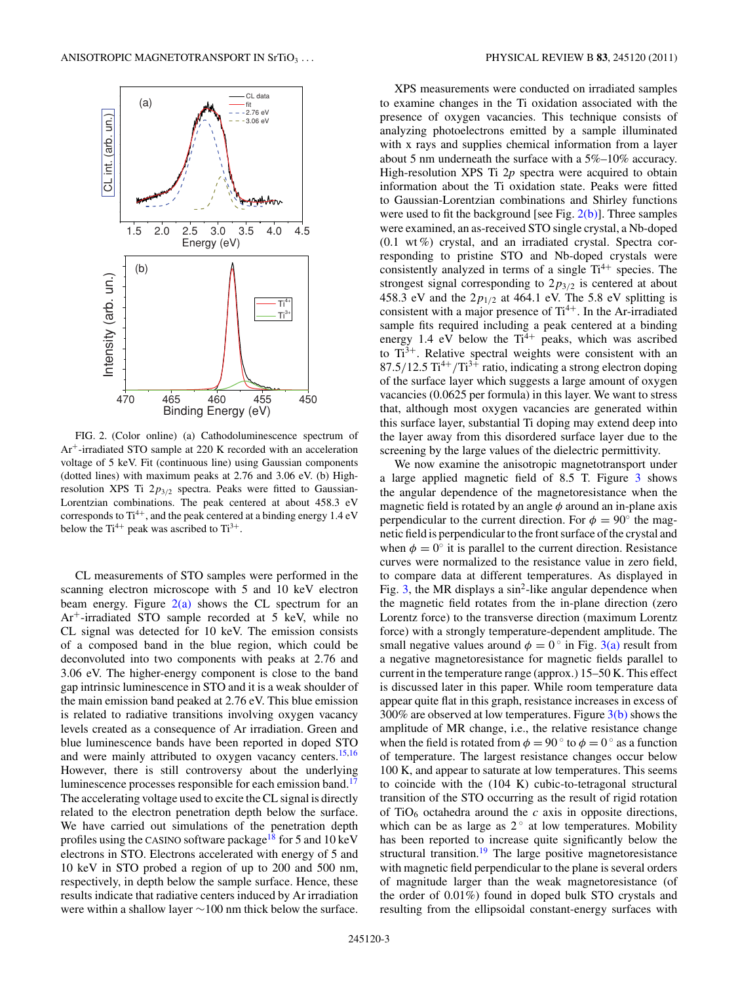<span id="page-2-0"></span>

FIG. 2. (Color online) (a) Cathodoluminescence spectrum of Ar+-irradiated STO sample at 220 K recorded with an acceleration voltage of 5 keV. Fit (continuous line) using Gaussian components (dotted lines) with maximum peaks at 2.76 and 3.06 eV. (b) Highresolution XPS Ti 2*p*3*/*<sup>2</sup> spectra. Peaks were fitted to Gaussian-Lorentzian combinations. The peak centered at about 458.3 eV corresponds to  $Ti^{4+}$ , and the peak centered at a binding energy 1.4 eV below the  $Ti^{4+}$  peak was ascribed to  $Ti^{3+}$ .

CL measurements of STO samples were performed in the scanning electron microscope with 5 and 10 keV electron beam energy. Figure  $2(a)$  shows the CL spectrum for an Ar+-irradiated STO sample recorded at 5 keV, while no CL signal was detected for 10 keV. The emission consists of a composed band in the blue region, which could be deconvoluted into two components with peaks at 2.76 and 3.06 eV. The higher-energy component is close to the band gap intrinsic luminescence in STO and it is a weak shoulder of the main emission band peaked at 2.76 eV. This blue emission is related to radiative transitions involving oxygen vacancy levels created as a consequence of Ar irradiation. Green and blue luminescence bands have been reported in doped STO and were mainly attributed to oxygen vacancy centers.  $15,16$ However, there is still controversy about the underlying luminescence processes responsible for each emission band.<sup>[17](#page-6-0)</sup> The accelerating voltage used to excite the CL signal is directly related to the electron penetration depth below the surface. We have carried out simulations of the penetration depth profiles using the CASINO software package<sup>18</sup> for 5 and 10 keV electrons in STO. Electrons accelerated with energy of 5 and 10 keV in STO probed a region of up to 200 and 500 nm, respectively, in depth below the sample surface. Hence, these results indicate that radiative centers induced by Ar irradiation were within a shallow layer ∼100 nm thick below the surface.

XPS measurements were conducted on irradiated samples to examine changes in the Ti oxidation associated with the presence of oxygen vacancies. This technique consists of analyzing photoelectrons emitted by a sample illuminated with x rays and supplies chemical information from a layer about 5 nm underneath the surface with a 5%–10% accuracy. High-resolution XPS Ti 2*p* spectra were acquired to obtain information about the Ti oxidation state. Peaks were fitted to Gaussian-Lorentzian combinations and Shirley functions were used to fit the background [see Fig. 2(b)]. Three samples were examined, an as-received STO single crystal, a Nb-doped  $(0.1 \text{ wt\%})$  crystal, and an irradiated crystal. Spectra corresponding to pristine STO and Nb-doped crystals were consistently analyzed in terms of a single  $Ti^{4+}$  species. The strongest signal corresponding to 2*p*3*/*<sup>2</sup> is centered at about 458.3 eV and the  $2p_{1/2}$  at 464.1 eV. The 5.8 eV splitting is consistent with a major presence of  $Ti^{4+}$ . In the Ar-irradiated sample fits required including a peak centered at a binding energy 1.4 eV below the  $Ti<sup>4+</sup>$  peaks, which was ascribed to  $Ti^{3+}$ . Relative spectral weights were consistent with an 87.5/12.5 Ti<sup>4+</sup>/Ti<sup>3+</sup> ratio, indicating a strong electron doping of the surface layer which suggests a large amount of oxygen vacancies (0.0625 per formula) in this layer. We want to stress that, although most oxygen vacancies are generated within this surface layer, substantial Ti doping may extend deep into the layer away from this disordered surface layer due to the screening by the large values of the dielectric permittivity.

We now examine the anisotropic magnetotransport under a large applied magnetic field of 8.5 T. Figure [3](#page-3-0) shows the angular dependence of the magnetoresistance when the magnetic field is rotated by an angle *φ* around an in-plane axis perpendicular to the current direction. For  $\phi = 90^\circ$  the magnetic field is perpendicular to the front surface of the crystal and when  $\phi = 0^\circ$  it is parallel to the current direction. Resistance curves were normalized to the resistance value in zero field, to compare data at different temperatures. As displayed in Fig. [3,](#page-3-0) the MR displays a  $\sin^2$ -like angular dependence when the magnetic field rotates from the in-plane direction (zero Lorentz force) to the transverse direction (maximum Lorentz force) with a strongly temperature-dependent amplitude. The small negative values around  $\phi = 0^{\circ}$  in Fig. [3\(a\)](#page-3-0) result from a negative magnetoresistance for magnetic fields parallel to current in the temperature range (approx.) 15–50 K. This effect is discussed later in this paper. While room temperature data appear quite flat in this graph, resistance increases in excess of 300% are observed at low temperatures. Figure  $3(b)$  shows the amplitude of MR change, i.e., the relative resistance change when the field is rotated from  $\phi = 90^\circ$  to  $\phi = 0^\circ$  as a function of temperature. The largest resistance changes occur below 100 K, and appear to saturate at low temperatures. This seems to coincide with the (104 K) cubic-to-tetragonal structural transition of the STO occurring as the result of rigid rotation of  $TiO<sub>6</sub>$  octahedra around the *c* axis in opposite directions, which can be as large as  $2^\circ$  at low temperatures. Mobility has been reported to increase quite significantly below the structural transition.<sup>19</sup> The large positive magnetoresistance with magnetic field perpendicular to the plane is several orders of magnitude larger than the weak magnetoresistance (of the order of 0.01%) found in doped bulk STO crystals and resulting from the ellipsoidal constant-energy surfaces with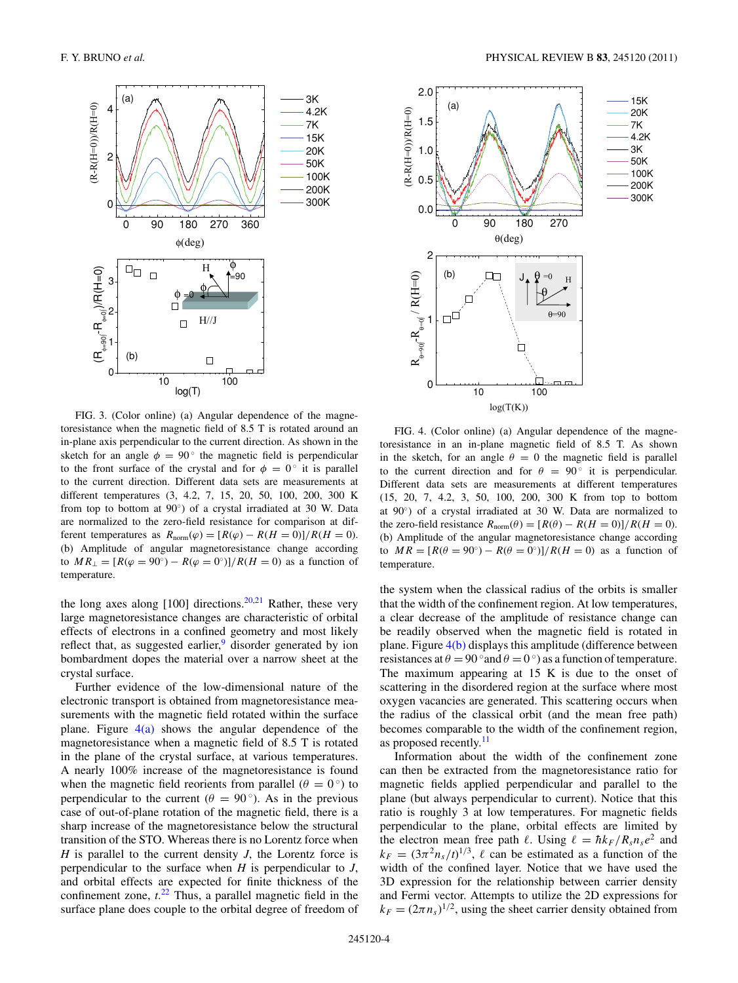<span id="page-3-0"></span>

FIG. 3. (Color online) (a) Angular dependence of the magnetoresistance when the magnetic field of 8.5 T is rotated around an in-plane axis perpendicular to the current direction. As shown in the sketch for an angle  $\phi = 90^{\circ}$  the magnetic field is perpendicular to the front surface of the crystal and for  $\phi = 0^{\circ}$  it is parallel to the current direction. Different data sets are measurements at different temperatures (3, 4.2, 7, 15, 20, 50, 100, 200, 300 K from top to bottom at 90°) of a crystal irradiated at 30 W. Data are normalized to the zero-field resistance for comparison at different temperatures as  $R_{\text{norm}}(\varphi) = [R(\varphi) - R(H = 0)]/R(H = 0).$ (b) Amplitude of angular magnetoresistance change according to *MR*<sub>⊥</sub> =  $[R(φ = 90°) - R(φ = 0°)]/R(H = 0)$  as a function of temperature.

the long axes along  $[100]$  directions.<sup>[20,21](#page-6-0)</sup> Rather, these very large magnetoresistance changes are characteristic of orbital effects of electrons in a confined geometry and most likely reflect that, as suggested earlier, $9$  disorder generated by ion bombardment dopes the material over a narrow sheet at the crystal surface.

Further evidence of the low-dimensional nature of the electronic transport is obtained from magnetoresistance measurements with the magnetic field rotated within the surface plane. Figure  $4(a)$  shows the angular dependence of the magnetoresistance when a magnetic field of 8.5 T is rotated in the plane of the crystal surface, at various temperatures. A nearly 100% increase of the magnetoresistance is found when the magnetic field reorients from parallel ( $\theta = 0^\circ$ ) to perpendicular to the current ( $\theta = 90^{\circ}$ ). As in the previous case of out-of-plane rotation of the magnetic field, there is a sharp increase of the magnetoresistance below the structural transition of the STO. Whereas there is no Lorentz force when *H* is parallel to the current density *J*, the Lorentz force is perpendicular to the surface when *H* is perpendicular to *J*, and orbital effects are expected for finite thickness of the confinement zone,  $t^{22}$  $t^{22}$  $t^{22}$  Thus, a parallel magnetic field in the surface plane does couple to the orbital degree of freedom of



FIG. 4. (Color online) (a) Angular dependence of the magnetoresistance in an in-plane magnetic field of 8.5 T. As shown in the sketch, for an angle  $\theta = 0$  the magnetic field is parallel to the current direction and for  $\theta = 90^\circ$  it is perpendicular. Different data sets are measurements at different temperatures (15, 20, 7, 4.2, 3, 50, 100, 200, 300 K from top to bottom at 90◦) of a crystal irradiated at 30 W. Data are normalized to the zero-field resistance  $R_{\text{norm}}(\theta) = [R(\theta) - R(H = 0)]/R(H = 0)$ . (b) Amplitude of the angular magnetoresistance change according to  $MR = [R(\theta = 90^\circ) - R(\theta = 0^\circ)]/R(H = 0)$  as a function of temperature.

the system when the classical radius of the orbits is smaller that the width of the confinement region. At low temperatures, a clear decrease of the amplitude of resistance change can be readily observed when the magnetic field is rotated in plane. Figure  $4(b)$  displays this amplitude (difference between resistances at  $\theta = 90^\circ$  and  $\theta = 0^\circ$  as a function of temperature. The maximum appearing at 15 K is due to the onset of scattering in the disordered region at the surface where most oxygen vacancies are generated. This scattering occurs when the radius of the classical orbit (and the mean free path) becomes comparable to the width of the confinement region, as proposed recently. $\frac{11}{11}$  $\frac{11}{11}$  $\frac{11}{11}$ 

Information about the width of the confinement zone can then be extracted from the magnetoresistance ratio for magnetic fields applied perpendicular and parallel to the plane (but always perpendicular to current). Notice that this ratio is roughly 3 at low temperatures. For magnetic fields perpendicular to the plane, orbital effects are limited by the electron mean free path  $\ell$ . Using  $\ell = \hbar k_F / R_s n_s e^2$  and  $k_F = (3\pi^2 n_s/t)^{1/3}$ ,  $\ell$  can be estimated as a function of the width of the confined layer. Notice that we have used the 3D expression for the relationship between carrier density and Fermi vector. Attempts to utilize the 2D expressions for  $k_F = (2\pi n_s)^{1/2}$ , using the sheet carrier density obtained from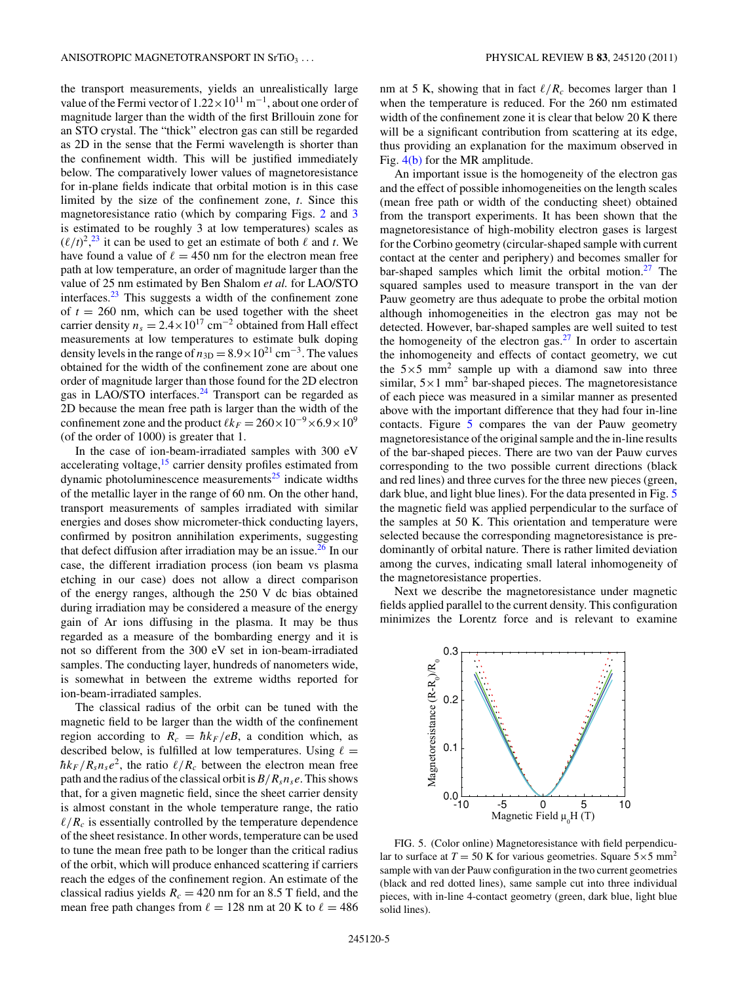the transport measurements, yields an unrealistically large value of the Fermi vector of  $1.22 \times 10^{11}$  m<sup>-1</sup>, about one order of magnitude larger than the width of the first Brillouin zone for an STO crystal. The "thick" electron gas can still be regarded as 2D in the sense that the Fermi wavelength is shorter than the confinement width. This will be justified immediately below. The comparatively lower values of magnetoresistance for in-plane fields indicate that orbital motion is in this case limited by the size of the confinement zone, *t*. Since this magnetoresistance ratio (which by comparing Figs. [2](#page-2-0) and [3](#page-3-0) is estimated to be roughly 3 at low temperatures) scales as  $(\ell/t)^2$ <sup>[23](#page-6-0)</sup>, it can be used to get an estimate of both  $\ell$  and *t*. We have found a value of  $\ell = 450$  nm for the electron mean free path at low temperature, an order of magnitude larger than the value of 25 nm estimated by Ben Shalom *et al.* for LAO/STO interfaces. $23$  This suggests a width of the confinement zone of  $t = 260$  nm, which can be used together with the sheet carrier density  $n_s = 2.4 \times 10^{17}$  cm<sup>-2</sup> obtained from Hall effect measurements at low temperatures to estimate bulk doping density levels in the range of  $n_{3D} = 8.9 \times 10^{21}$  cm<sup>-3</sup>. The values obtained for the width of the confinement zone are about one order of magnitude larger than those found for the 2D electron gas in LAO/STO interfaces.<sup>24</sup> Transport can be regarded as 2D because the mean free path is larger than the width of the confinement zone and the product  $\ell k_F = 260 \times 10^{-9} \times 6.9 \times 10^9$ (of the order of 1000) is greater that 1.

In the case of ion-beam-irradiated samples with 300 eV accelerating voltage, $15$  carrier density profiles estimated from dynamic photoluminescence measurements<sup>25</sup> indicate widths of the metallic layer in the range of 60 nm. On the other hand, transport measurements of samples irradiated with similar energies and doses show micrometer-thick conducting layers, confirmed by positron annihilation experiments, suggesting that defect diffusion after irradiation may be an issue. $^{26}$  $^{26}$  $^{26}$  In our case, the different irradiation process (ion beam vs plasma etching in our case) does not allow a direct comparison of the energy ranges, although the 250 V dc bias obtained during irradiation may be considered a measure of the energy gain of Ar ions diffusing in the plasma. It may be thus regarded as a measure of the bombarding energy and it is not so different from the 300 eV set in ion-beam-irradiated samples. The conducting layer, hundreds of nanometers wide, is somewhat in between the extreme widths reported for ion-beam-irradiated samples.

The classical radius of the orbit can be tuned with the magnetic field to be larger than the width of the confinement region according to  $R_c = \hbar k_F / eB$ , a condition which, as described below, is fulfilled at low temperatures. Using  $\ell =$  $\hbar k_F / R_s n_s e^2$ , the ratio  $\ell / R_c$  between the electron mean free path and the radius of the classical orbit is  $B/R_s n_s e$ . This shows that, for a given magnetic field, since the sheet carrier density is almost constant in the whole temperature range, the ratio  $\ell/R_c$  is essentially controlled by the temperature dependence of the sheet resistance. In other words, temperature can be used to tune the mean free path to be longer than the critical radius of the orbit, which will produce enhanced scattering if carriers reach the edges of the confinement region. An estimate of the classical radius yields  $R_c = 420$  nm for an 8.5 T field, and the mean free path changes from  $\ell = 128$  nm at 20 K to  $\ell = 486$  nm at 5 K, showing that in fact  $\ell/R_c$  becomes larger than 1 when the temperature is reduced. For the 260 nm estimated width of the confinement zone it is clear that below 20 K there will be a significant contribution from scattering at its edge, thus providing an explanation for the maximum observed in Fig. [4\(b\)](#page-3-0) for the MR amplitude.

An important issue is the homogeneity of the electron gas and the effect of possible inhomogeneities on the length scales (mean free path or width of the conducting sheet) obtained from the transport experiments. It has been shown that the magnetoresistance of high-mobility electron gases is largest for the Corbino geometry (circular-shaped sample with current contact at the center and periphery) and becomes smaller for bar-shaped samples which limit the orbital motion. $27$  The squared samples used to measure transport in the van der Pauw geometry are thus adequate to probe the orbital motion although inhomogeneities in the electron gas may not be detected. However, bar-shaped samples are well suited to test the homogeneity of the electron gas.[27](#page-7-0) In order to ascertain the inhomogeneity and effects of contact geometry, we cut the  $5\times 5$  mm<sup>2</sup> sample up with a diamond saw into three similar,  $5 \times 1$  mm<sup>2</sup> bar-shaped pieces. The magnetoresistance of each piece was measured in a similar manner as presented above with the important difference that they had four in-line contacts. Figure 5 compares the van der Pauw geometry magnetoresistance of the original sample and the in-line results of the bar-shaped pieces. There are two van der Pauw curves corresponding to the two possible current directions (black and red lines) and three curves for the three new pieces (green, dark blue, and light blue lines). For the data presented in Fig. 5 the magnetic field was applied perpendicular to the surface of the samples at 50 K. This orientation and temperature were selected because the corresponding magnetoresistance is predominantly of orbital nature. There is rather limited deviation among the curves, indicating small lateral inhomogeneity of the magnetoresistance properties.

Next we describe the magnetoresistance under magnetic fields applied parallel to the current density. This configuration minimizes the Lorentz force and is relevant to examine



FIG. 5. (Color online) Magnetoresistance with field perpendicular to surface at  $T = 50$  K for various geometries. Square  $5 \times 5$  mm<sup>2</sup> sample with van der Pauw configuration in the two current geometries (black and red dotted lines), same sample cut into three individual pieces, with in-line 4-contact geometry (green, dark blue, light blue solid lines).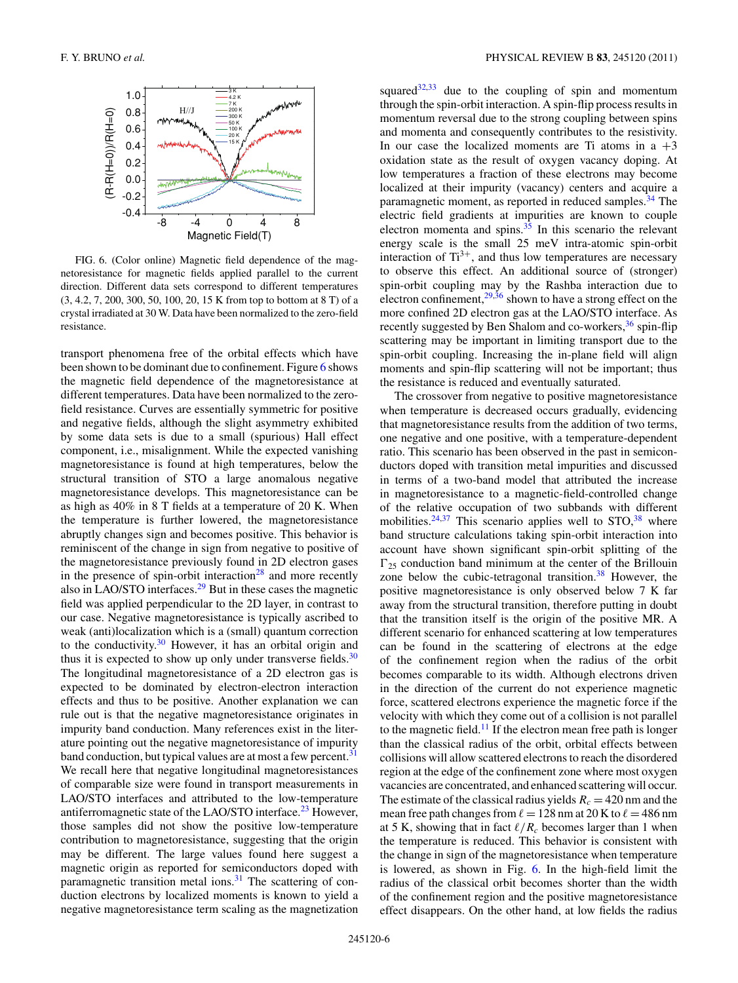

FIG. 6. (Color online) Magnetic field dependence of the magnetoresistance for magnetic fields applied parallel to the current direction. Different data sets correspond to different temperatures (3, 4.2, 7, 200, 300, 50, 100, 20, 15 K from top to bottom at 8 T) of a crystal irradiated at 30 W. Data have been normalized to the zero-field resistance.

transport phenomena free of the orbital effects which have been shown to be dominant due to confinement. Figure 6 shows the magnetic field dependence of the magnetoresistance at different temperatures. Data have been normalized to the zerofield resistance. Curves are essentially symmetric for positive and negative fields, although the slight asymmetry exhibited by some data sets is due to a small (spurious) Hall effect component, i.e., misalignment. While the expected vanishing magnetoresistance is found at high temperatures, below the structural transition of STO a large anomalous negative magnetoresistance develops. This magnetoresistance can be as high as 40% in 8 T fields at a temperature of 20 K. When the temperature is further lowered, the magnetoresistance abruptly changes sign and becomes positive. This behavior is reminiscent of the change in sign from negative to positive of the magnetoresistance previously found in 2D electron gases in the presence of spin-orbit interaction $^{28}$  and more recently also in LAO/STO interfaces.[29](#page-7-0) But in these cases the magnetic field was applied perpendicular to the 2D layer, in contrast to our case. Negative magnetoresistance is typically ascribed to weak (anti)localization which is a (small) quantum correction to the conductivity.<sup>30</sup> However, it has an orbital origin and thus it is expected to show up only under transverse fields. $30$ The longitudinal magnetoresistance of a 2D electron gas is expected to be dominated by electron-electron interaction effects and thus to be positive. Another explanation we can rule out is that the negative magnetoresistance originates in impurity band conduction. Many references exist in the literature pointing out the negative magnetoresistance of impurity band conduction, but typical values are at most a few percent.<sup>31</sup> We recall here that negative longitudinal magnetoresistances of comparable size were found in transport measurements in LAO/STO interfaces and attributed to the low-temperature antiferromagnetic state of the LAO/STO interface.<sup>23</sup> However, those samples did not show the positive low-temperature contribution to magnetoresistance, suggesting that the origin may be different. The large values found here suggest a magnetic origin as reported for semiconductors doped with paramagnetic transition metal ions. $31$  The scattering of conduction electrons by localized moments is known to yield a negative magnetoresistance term scaling as the magnetization squared $32,33$  due to the coupling of spin and momentum through the spin-orbit interaction. A spin-flip process results in momentum reversal due to the strong coupling between spins and momenta and consequently contributes to the resistivity. In our case the localized moments are Ti atoms in  $a +3$ oxidation state as the result of oxygen vacancy doping. At low temperatures a fraction of these electrons may become localized at their impurity (vacancy) centers and acquire a paramagnetic moment, as reported in reduced samples.<sup>34</sup> The electric field gradients at impurities are known to couple electron momenta and spins. $35$  In this scenario the relevant energy scale is the small 25 meV intra-atomic spin-orbit interaction of  $Ti^{3+}$ , and thus low temperatures are necessary to observe this effect. An additional source of (stronger) spin-orbit coupling may by the Rashba interaction due to electron confinement,  $29,36$  shown to have a strong effect on the more confined 2D electron gas at the LAO/STO interface. As recently suggested by Ben Shalom and co-workers,  $36$  spin-flip scattering may be important in limiting transport due to the spin-orbit coupling. Increasing the in-plane field will align moments and spin-flip scattering will not be important; thus the resistance is reduced and eventually saturated.

The crossover from negative to positive magnetoresistance when temperature is decreased occurs gradually, evidencing that magnetoresistance results from the addition of two terms, one negative and one positive, with a temperature-dependent ratio. This scenario has been observed in the past in semiconductors doped with transition metal impurities and discussed in terms of a two-band model that attributed the increase in magnetoresistance to a magnetic-field-controlled change of the relative occupation of two subbands with different mobilities. $24,37$  $24,37$  This scenario applies well to STO,  $38$  where band structure calculations taking spin-orbit interaction into account have shown significant spin-orbit splitting of the  $\Gamma_{25}$  conduction band minimum at the center of the Brillouin zone below the cubic-tetragonal transition. $38$  However, the positive magnetoresistance is only observed below 7 K far away from the structural transition, therefore putting in doubt that the transition itself is the origin of the positive MR. A different scenario for enhanced scattering at low temperatures can be found in the scattering of electrons at the edge of the confinement region when the radius of the orbit becomes comparable to its width. Although electrons driven in the direction of the current do not experience magnetic force, scattered electrons experience the magnetic force if the velocity with which they come out of a collision is not parallel to the magnetic field.<sup>11</sup> If the electron mean free path is longer than the classical radius of the orbit, orbital effects between collisions will allow scattered electrons to reach the disordered region at the edge of the confinement zone where most oxygen vacancies are concentrated, and enhanced scattering will occur. The estimate of the classical radius yields  $R_c = 420$  nm and the mean free path changes from  $\ell = 128$  nm at 20 K to  $\ell = 486$  nm at 5 K, showing that in fact  $\ell/R_c$  becomes larger than 1 when the temperature is reduced. This behavior is consistent with the change in sign of the magnetoresistance when temperature is lowered, as shown in Fig. 6. In the high-field limit the radius of the classical orbit becomes shorter than the width of the confinement region and the positive magnetoresistance effect disappears. On the other hand, at low fields the radius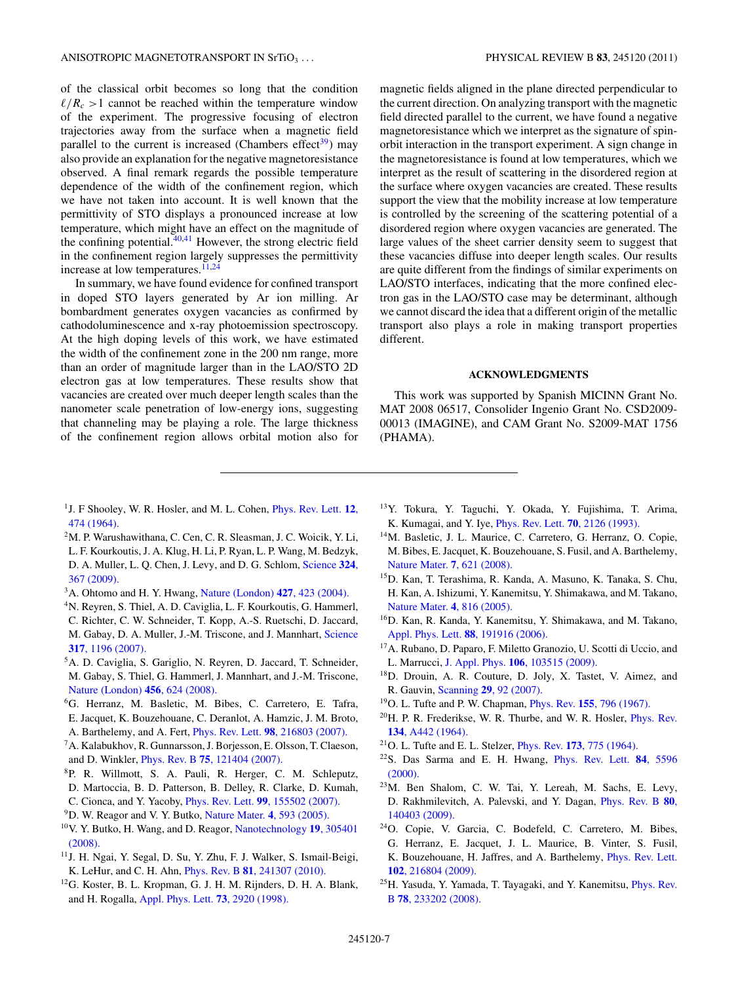<span id="page-6-0"></span>of the classical orbit becomes so long that the condition  $\ell/R_c > 1$  cannot be reached within the temperature window of the experiment. The progressive focusing of electron trajectories away from the surface when a magnetic field parallel to the current is increased (Chambers effect $39$ ) may also provide an explanation for the negative magnetoresistance observed. A final remark regards the possible temperature dependence of the width of the confinement region, which we have not taken into account. It is well known that the permittivity of STO displays a pronounced increase at low temperature, which might have an effect on the magnitude of the confining potential. $40,41$  However, the strong electric field in the confinement region largely suppresses the permittivity increase at low temperatures.  $\overline{11,24}$ 

In summary, we have found evidence for confined transport in doped STO layers generated by Ar ion milling. Ar bombardment generates oxygen vacancies as confirmed by cathodoluminescence and x-ray photoemission spectroscopy. At the high doping levels of this work, we have estimated the width of the confinement zone in the 200 nm range, more than an order of magnitude larger than in the LAO/STO 2D electron gas at low temperatures. These results show that vacancies are created over much deeper length scales than the nanometer scale penetration of low-energy ions, suggesting that channeling may be playing a role. The large thickness of the confinement region allows orbital motion also for magnetic fields aligned in the plane directed perpendicular to the current direction. On analyzing transport with the magnetic field directed parallel to the current, we have found a negative magnetoresistance which we interpret as the signature of spinorbit interaction in the transport experiment. A sign change in the magnetoresistance is found at low temperatures, which we interpret as the result of scattering in the disordered region at the surface where oxygen vacancies are created. These results support the view that the mobility increase at low temperature is controlled by the screening of the scattering potential of a disordered region where oxygen vacancies are generated. The large values of the sheet carrier density seem to suggest that these vacancies diffuse into deeper length scales. Our results are quite different from the findings of similar experiments on LAO/STO interfaces, indicating that the more confined electron gas in the LAO/STO case may be determinant, although we cannot discard the idea that a different origin of the metallic transport also plays a role in making transport properties different.

### **ACKNOWLEDGMENTS**

This work was supported by Spanish MICINN Grant No. MAT 2008 06517, Consolider Ingenio Grant No. CSD2009- 00013 (IMAGINE), and CAM Grant No. S2009-MAT 1756 (PHAMA).

- 1J. F Shooley, W. R. Hosler, and M. L. Cohen, [Phys. Rev. Lett.](http://dx.doi.org/10.1103/PhysRevLett.12.474) **12**, [474 \(1964\).](http://dx.doi.org/10.1103/PhysRevLett.12.474)
- 2M. P. Warushawithana, C. Cen, C. R. Sleasman, J. C. Woicik, Y. Li, L. F. Kourkoutis, J. A. Klug, H. Li, P. Ryan, L. P. Wang, M. Bedzyk, D. A. Muller, L. Q. Chen, J. Levy, and D. G. Schlom, [Science](http://dx.doi.org/10.1126/science.1169678) **324**, [367 \(2009\).](http://dx.doi.org/10.1126/science.1169678)
- 3A. Ohtomo and H. Y. Hwang, [Nature \(London\)](http://dx.doi.org/10.1038/nature02308) **427**, 423 (2004).
- 4N. Reyren, S. Thiel, A. D. Caviglia, L. F. Kourkoutis, G. Hammerl, C. Richter, C. W. Schneider, T. Kopp, A.-S. Ruetschi, D. Jaccard, M. Gabay, D. A. Muller, J.-M. Triscone, and J. Mannhart, [Science](http://dx.doi.org/10.1126/science.1146006) **317**[, 1196 \(2007\).](http://dx.doi.org/10.1126/science.1146006)
- 5A. D. Caviglia, S. Gariglio, N. Reyren, D. Jaccard, T. Schneider, M. Gabay, S. Thiel, G. Hammerl, J. Mannhart, and J.-M. Triscone, [Nature \(London\)](http://dx.doi.org/10.1038/nature07576) **456**, 624 (2008).
- 6G. Herranz, M. Basletic, M. Bibes, C. Carretero, E. Tafra, E. Jacquet, K. Bouzehouane, C. Deranlot, A. Hamzic, J. M. Broto, A. Barthelemy, and A. Fert, Phys. Rev. Lett. **98**[, 216803 \(2007\).](http://dx.doi.org/10.1103/PhysRevLett.98.216803)
- 7A. Kalabukhov, R. Gunnarsson, J. Borjesson, E. Olsson, T. Claeson, and D. Winkler, Phys. Rev. B **75**[, 121404 \(2007\).](http://dx.doi.org/10.1103/PhysRevB.75.121404)
- 8P. R. Willmott, S. A. Pauli, R. Herger, C. M. Schleputz, D. Martoccia, B. D. Patterson, B. Delley, R. Clarke, D. Kumah,
- C. Cionca, and Y. Yacoby, Phys. Rev. Lett. **99**[, 155502 \(2007\).](http://dx.doi.org/10.1103/PhysRevLett.99.155502)
- 9D. W. Reagor and V. Y. Butko, [Nature Mater.](http://dx.doi.org/10.1038/nmat1402) **4**, 593 (2005).
- 10V. Y. Butko, H. Wang, and D. Reagor, [Nanotechnology](http://dx.doi.org/10.1088/0957-4484/19/30/305401) **19**, 305401 [\(2008\).](http://dx.doi.org/10.1088/0957-4484/19/30/305401)
- 11J. H. Ngai, Y. Segal, D. Su, Y. Zhu, F. J. Walker, S. Ismail-Beigi, K. LeHur, and C. H. Ahn, Phys. Rev. B **81**[, 241307 \(2010\).](http://dx.doi.org/10.1103/PhysRevB.81.241307)
- 12G. Koster, B. L. Kropman, G. J. H. M. Rijnders, D. H. A. Blank, and H. Rogalla, [Appl. Phys. Lett.](http://dx.doi.org/10.1063/1.122630) **73**, 2920 (1998).
- 13Y. Tokura, Y. Taguchi, Y. Okada, Y. Fujishima, T. Arima, K. Kumagai, and Y. Iye, [Phys. Rev. Lett.](http://dx.doi.org/10.1103/PhysRevLett.70.2126) **70**, 2126 (1993).
- 14M. Basletic, J. L. Maurice, C. Carretero, G. Herranz, O. Copie, M. Bibes, E. Jacquet, K. Bouzehouane, S. Fusil, and A. Barthelemy, [Nature Mater.](http://dx.doi.org/10.1038/nmat2223) **7**, 621 (2008).
- 15D. Kan, T. Terashima, R. Kanda, A. Masuno, K. Tanaka, S. Chu, H. Kan, A. Ishizumi, Y. Kanemitsu, Y. Shimakawa, and M. Takano, [Nature Mater.](http://dx.doi.org/10.1038/nmat1498) **4**, 816 (2005).
- 16D. Kan, R. Kanda, Y. Kanemitsu, Y. Shimakawa, and M. Takano, [Appl. Phys. Lett.](http://dx.doi.org/10.1063/1.2202750) **88**, 191916 (2006).
- 17A. Rubano, D. Paparo, F. Miletto Granozio, U. Scotti di Uccio, and L. Marrucci, J. Appl. Phys. **106**[, 103515 \(2009\).](http://dx.doi.org/10.1063/1.3256140)
- 18D. Drouin, A. R. Couture, D. Joly, X. Tastet, V. Aimez, and R. Gauvin, Scanning **29**[, 92 \(2007\).](http://dx.doi.org/10.1002/sca.20000)
- 19O. L. Tufte and P. W. Chapman, Phys. Rev. **155**[, 796 \(1967\).](http://dx.doi.org/10.1103/PhysRev.155.796)
- $^{20}$ H. P. R. Frederikse, W. R. Thurbe, and W. R. Hosler, *[Phys. Rev.](http://dx.doi.org/10.1103/PhysRev.134.A442)* **134**[, A442 \(1964\).](http://dx.doi.org/10.1103/PhysRev.134.A442)
- 21O. L. Tufte and E. L. Stelzer, Phys. Rev. **173**[, 775 \(1964\).](http://dx.doi.org/10.1103/PhysRev.173.775)
- 22S. Das Sarma and E. H. Hwang, [Phys. Rev. Lett.](http://dx.doi.org/10.1103/PhysRevLett.84.5596) **84**, 5596 [\(2000\).](http://dx.doi.org/10.1103/PhysRevLett.84.5596)
- 23M. Ben Shalom, C. W. Tai, Y. Lereah, M. Sachs, E. Levy, D. Rakhmilevitch, A. Palevski, and Y. Dagan, [Phys. Rev. B](http://dx.doi.org/10.1103/PhysRevB.80.140403) **80**, [140403 \(2009\).](http://dx.doi.org/10.1103/PhysRevB.80.140403)
- 24O. Copie, V. Garcia, C. Bodefeld, C. Carretero, M. Bibes, G. Herranz, E. Jacquet, J. L. Maurice, B. Vinter, S. Fusil, K. Bouzehouane, H. Jaffres, and A. Barthelemy, [Phys. Rev. Lett.](http://dx.doi.org/10.1103/PhysRevLett.102.216804) **102**[, 216804 \(2009\).](http://dx.doi.org/10.1103/PhysRevLett.102.216804)
- 25H. Yasuda, Y. Yamada, T. Tayagaki, and Y. Kanemitsu, [Phys. Rev.](http://dx.doi.org/10.1103/PhysRevB.78.233202) B **78**[, 233202 \(2008\).](http://dx.doi.org/10.1103/PhysRevB.78.233202)